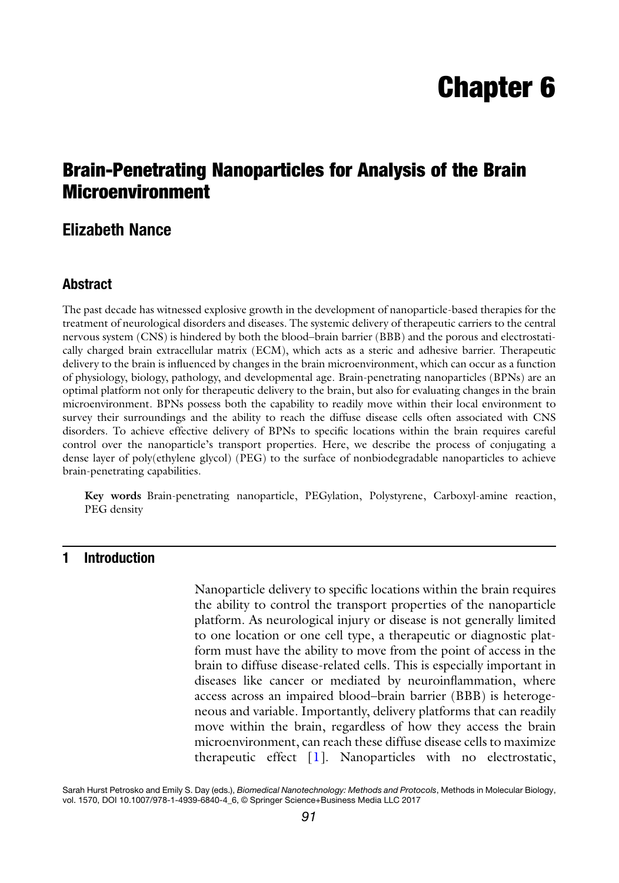# Chapter 6

# Brain-Penetrating Nanoparticles for Analysis of the Brain Microenvironment

# Elizabeth Nance

#### Abstract

The past decade has witnessed explosive growth in the development of nanoparticle-based therapies for the treatment of neurological disorders and diseases. The systemic delivery of therapeutic carriers to the central nervous system (CNS) is hindered by both the blood–brain barrier (BBB) and the porous and electrostatically charged brain extracellular matrix (ECM), which acts as a steric and adhesive barrier. Therapeutic delivery to the brain is influenced by changes in the brain microenvironment, which can occur as a function of physiology, biology, pathology, and developmental age. Brain-penetrating nanoparticles (BPNs) are an optimal platform not only for therapeutic delivery to the brain, but also for evaluating changes in the brain microenvironment. BPNs possess both the capability to readily move within their local environment to survey their surroundings and the ability to reach the diffuse disease cells often associated with CNS disorders. To achieve effective delivery of BPNs to specific locations within the brain requires careful control over the nanoparticle's transport properties. Here, we describe the process of conjugating a dense layer of poly(ethylene glycol) (PEG) to the surface of nonbiodegradable nanoparticles to achieve brain-penetrating capabilities.

Key words Brain-penetrating nanoparticle, PEGylation, Polystyrene, Carboxyl-amine reaction, PEG density

## 1 Introduction

Nanoparticle delivery to specific locations within the brain requires the ability to control the transport properties of the nanoparticle platform. As neurological injury or disease is not generally limited to one location or one cell type, a therapeutic or diagnostic platform must have the ability to move from the point of access in the brain to diffuse disease-related cells. This is especially important in diseases like cancer or mediated by neuroinflammation, where access across an impaired blood–brain barrier (BBB) is heterogeneous and variable. Importantly, delivery platforms that can readily move within the brain, regardless of how they access the brain microenvironment, can reach these diffuse disease cells to maximize therapeutic effect [\[1](#page-12-0)]. Nanoparticles with no electrostatic,

Sarah Hurst Petrosko and Emily S. Day (eds.), Biomedical Nanotechnology: Methods and Protocols, Methods in Molecular Biology, vol. 1570, DOI 10.1007/978-1-4939-6840-4\_6, © Springer Science+Business Media LLC 2017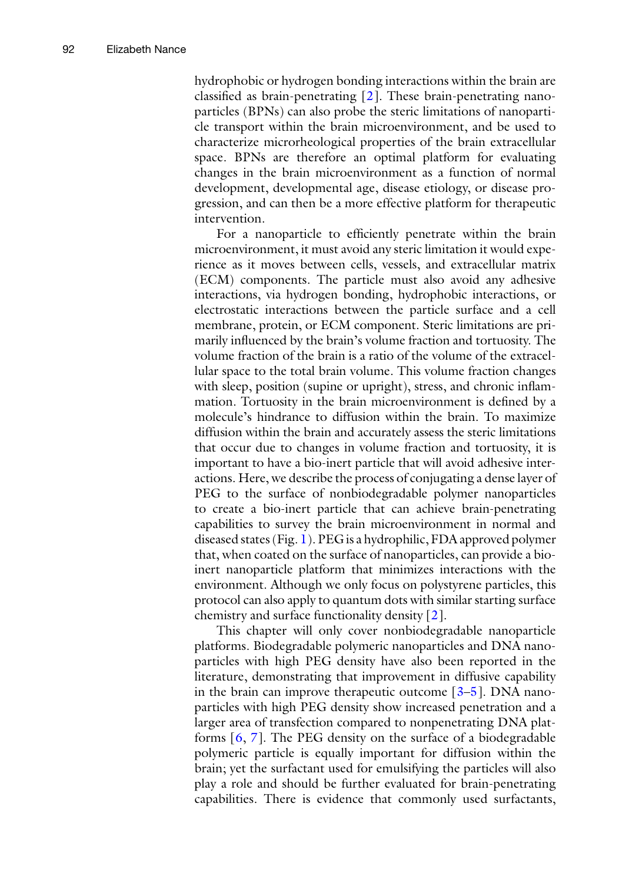hydrophobic or hydrogen bonding interactions within the brain are classified as brain-penetrating [[2\]](#page-12-0). These brain-penetrating nanoparticles (BPNs) can also probe the steric limitations of nanoparticle transport within the brain microenvironment, and be used to characterize microrheological properties of the brain extracellular space. BPNs are therefore an optimal platform for evaluating changes in the brain microenvironment as a function of normal development, developmental age, disease etiology, or disease progression, and can then be a more effective platform for therapeutic intervention.

For a nanoparticle to efficiently penetrate within the brain microenvironment, it must avoid any steric limitation it would experience as it moves between cells, vessels, and extracellular matrix (ECM) components. The particle must also avoid any adhesive interactions, via hydrogen bonding, hydrophobic interactions, or electrostatic interactions between the particle surface and a cell membrane, protein, or ECM component. Steric limitations are primarily influenced by the brain's volume fraction and tortuosity. The volume fraction of the brain is a ratio of the volume of the extracellular space to the total brain volume. This volume fraction changes with sleep, position (supine or upright), stress, and chronic inflammation. Tortuosity in the brain microenvironment is defined by a molecule's hindrance to diffusion within the brain. To maximize diffusion within the brain and accurately assess the steric limitations that occur due to changes in volume fraction and tortuosity, it is important to have a bio-inert particle that will avoid adhesive interactions. Here, we describe the process of conjugating a dense layer of PEG to the surface of nonbiodegradable polymer nanoparticles to create a bio-inert particle that can achieve brain-penetrating capabilities to survey the brain microenvironment in normal and diseased states (Fig. [1\)](#page-2-0). PEG is a hydrophilic, FDA approved polymer that, when coated on the surface of nanoparticles, can provide a bioinert nanoparticle platform that minimizes interactions with the environment. Although we only focus on polystyrene particles, this protocol can also apply to quantum dots with similar starting surface chemistry and surface functionality density [[2\]](#page-12-0).

This chapter will only cover nonbiodegradable nanoparticle platforms. Biodegradable polymeric nanoparticles and DNA nanoparticles with high PEG density have also been reported in the literature, demonstrating that improvement in diffusive capability in the brain can improve therapeutic outcome  $[3-5]$  $[3-5]$  $[3-5]$  $[3-5]$ . DNA nanoparticles with high PEG density show increased penetration and a larger area of transfection compared to nonpenetrating DNA platforms [\[6,](#page-12-0) [7](#page-13-0)]. The PEG density on the surface of a biodegradable polymeric particle is equally important for diffusion within the brain; yet the surfactant used for emulsifying the particles will also play a role and should be further evaluated for brain-penetrating capabilities. There is evidence that commonly used surfactants,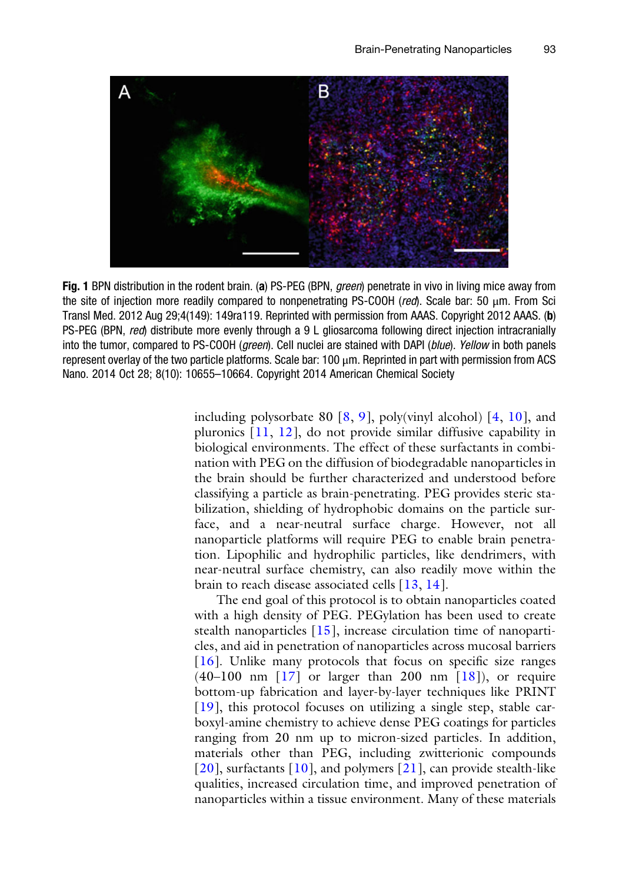<span id="page-2-0"></span>

Fig. 1 BPN distribution in the rodent brain. (a) PS-PEG (BPN, *green*) penetrate in vivo in living mice away from the site of injection more readily compared to nonpenetrating PS-COOH (red). Scale bar: 50 μm. From Sci Transl Med. 2012 Aug 29;4(149): 149ra119. Reprinted with permission from AAAS. Copyright 2012 AAAS. (b) PS-PEG (BPN, red) distribute more evenly through a 9 L gliosarcoma following direct injection intracranially into the tumor, compared to PS-COOH (green). Cell nuclei are stained with DAPI (blue). Yellow in both panels represent overlay of the two particle platforms. Scale bar: 100 μm. Reprinted in part with permission from ACS Nano. 2014 Oct 28; 8(10): 10655–10664. Copyright 2014 American Chemical Society

including polysorbate 80  $[8, 9]$  $[8, 9]$  $[8, 9]$  $[8, 9]$  $[8, 9]$ , poly(vinyl alcohol)  $[4, 10]$  $[4, 10]$  $[4, 10]$  $[4, 10]$  $[4, 10]$ , and pluronics [\[11,](#page-13-0) [12\]](#page-13-0), do not provide similar diffusive capability in biological environments. The effect of these surfactants in combination with PEG on the diffusion of biodegradable nanoparticles in the brain should be further characterized and understood before classifying a particle as brain-penetrating. PEG provides steric stabilization, shielding of hydrophobic domains on the particle surface, and a near-neutral surface charge. However, not all nanoparticle platforms will require PEG to enable brain penetration. Lipophilic and hydrophilic particles, like dendrimers, with near-neutral surface chemistry, can also readily move within the brain to reach disease associated cells [[13](#page-13-0), [14\]](#page-13-0).

The end goal of this protocol is to obtain nanoparticles coated with a high density of PEG. PEGylation has been used to create stealth nanoparticles  $[15]$ , increase circulation time of nanoparticles, and aid in penetration of nanoparticles across mucosal barriers [[16\]](#page-13-0). Unlike many protocols that focus on specific size ranges  $(40-100$  nm  $\lceil 17 \rceil$  or larger than 200 nm  $\lceil 18 \rceil$ ), or require bottom-up fabrication and layer-by-layer techniques like PRINT [[19\]](#page-13-0), this protocol focuses on utilizing a single step, stable carboxyl-amine chemistry to achieve dense PEG coatings for particles ranging from 20 nm up to micron-sized particles. In addition, materials other than PEG, including zwitterionic compounds [[20\]](#page-13-0), surfactants [[10](#page-13-0)], and polymers [[21](#page-13-0)], can provide stealth-like qualities, increased circulation time, and improved penetration of nanoparticles within a tissue environment. Many of these materials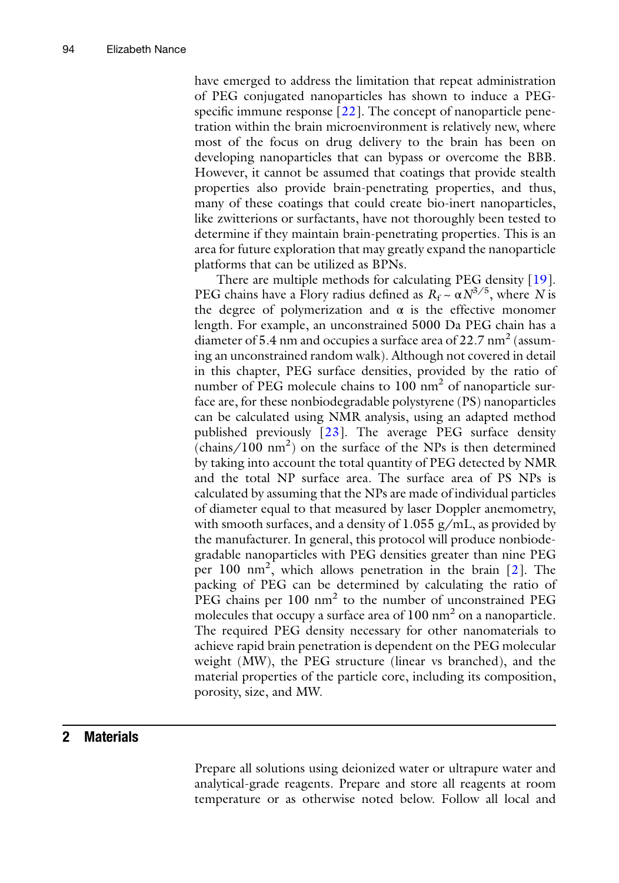have emerged to address the limitation that repeat administration of PEG conjugated nanoparticles has shown to induce a PEG-specific immune response [[22](#page-13-0)]. The concept of nanoparticle penetration within the brain microenvironment is relatively new, where most of the focus on drug delivery to the brain has been on developing nanoparticles that can bypass or overcome the BBB. However, it cannot be assumed that coatings that provide stealth properties also provide brain-penetrating properties, and thus, many of these coatings that could create bio-inert nanoparticles, like zwitterions or surfactants, have not thoroughly been tested to determine if they maintain brain-penetrating properties. This is an area for future exploration that may greatly expand the nanoparticle platforms that can be utilized as BPNs.

There are multiple methods for calculating PEG density [[19](#page-13-0)]. PEG chains have a Flory radius defined as  $R_f \sim \alpha N^{3/5}$ , where N is the degree of polymerization and  $\alpha$  is the effective monomer length. For example, an unconstrained 5000 Da PEG chain has a diameter of 5.4 nm and occupies a surface area of  $22.7 \text{ nm}^2$  (assuming an unconstrained random walk). Although not covered in detail in this chapter, PEG surface densities, provided by the ratio of number of PEG molecule chains to  $100 \text{ nm}^2$  of nanoparticle surface are, for these nonbiodegradable polystyrene (PS) nanoparticles can be calculated using NMR analysis, using an adapted method published previously [\[23\]](#page-13-0). The average PEG surface density  $(\text{chains}/100 \text{ nm}^2)$  on the surface of the NPs is then determined by taking into account the total quantity of PEG detected by NMR and the total NP surface area. The surface area of PS NPs is calculated by assuming that the NPs are made of individual particles of diameter equal to that measured by laser Doppler anemometry, with smooth surfaces, and a density of 1.055 g/mL, as provided by the manufacturer. In general, this protocol will produce nonbiodegradable nanoparticles with PEG densities greater than nine PEG per 100  $\text{nm}^2$ , which allows penetration in the brain [\[2](#page-12-0)]. The packing of PEG can be determined by calculating the ratio of PEG chains per 100 nm<sup>2</sup> to the number of unconstrained PEG molecules that occupy a surface area of  $100 \text{ nm}^2$  on a nanoparticle. The required PEG density necessary for other nanomaterials to achieve rapid brain penetration is dependent on the PEG molecular weight (MW), the PEG structure (linear vs branched), and the material properties of the particle core, including its composition, porosity, size, and MW.

#### 2 Materials

Prepare all solutions using deionized water or ultrapure water and analytical-grade reagents. Prepare and store all reagents at room temperature or as otherwise noted below. Follow all local and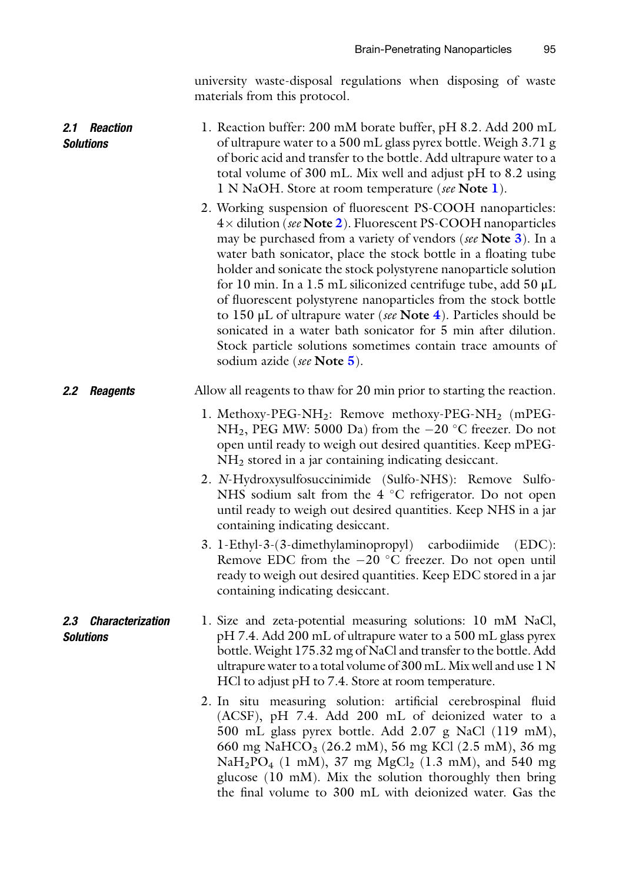university waste-disposal regulations when disposing of waste materials from this protocol.

<span id="page-4-0"></span>

| 2.1 Reaction<br><b>Solutions</b>         | 1. Reaction buffer: 200 mM borate buffer, pH 8.2. Add 200 mL<br>of ultrapure water to a 500 mL glass pyrex bottle. Weigh 3.71 g<br>of boric acid and transfer to the bottle. Add ultrapure water to a<br>total volume of 300 mL. Mix well and adjust pH to 8.2 using<br>1 N NaOH. Store at room temperature (see Note 1).                                                                                                                                                                                                                                                                                                                                                                                  |
|------------------------------------------|------------------------------------------------------------------------------------------------------------------------------------------------------------------------------------------------------------------------------------------------------------------------------------------------------------------------------------------------------------------------------------------------------------------------------------------------------------------------------------------------------------------------------------------------------------------------------------------------------------------------------------------------------------------------------------------------------------|
|                                          | 2. Working suspension of fluorescent PS-COOH nanoparticles:<br>4× dilution (see Note 2). Fluorescent PS-COOH nanoparticles<br>may be purchased from a variety of vendors (see Note 3). In a<br>water bath sonicator, place the stock bottle in a floating tube<br>holder and sonicate the stock polystyrene nanoparticle solution<br>for 10 min. In a 1.5 mL siliconized centrifuge tube, add 50 µL<br>of fluorescent polystyrene nanoparticles from the stock bottle<br>to 150 $\mu$ L of ultrapure water (see Note 4). Particles should be<br>sonicated in a water bath sonicator for 5 min after dilution.<br>Stock particle solutions sometimes contain trace amounts of<br>sodium azide (see Note 5). |
| 2.2 Reagents                             | Allow all reagents to thaw for 20 min prior to starting the reaction.                                                                                                                                                                                                                                                                                                                                                                                                                                                                                                                                                                                                                                      |
|                                          | 1. Methoxy-PEG-NH <sub>2</sub> : Remove methoxy-PEG-NH <sub>2</sub> (mPEG-<br>NH <sub>2</sub> , PEG MW: 5000 Da) from the $-20$ °C freezer. Do not<br>open until ready to weigh out desired quantities. Keep mPEG-<br>NH <sub>2</sub> stored in a jar containing indicating desiccant.                                                                                                                                                                                                                                                                                                                                                                                                                     |
|                                          | 2. N-Hydroxysulfosuccinimide (Sulfo-NHS): Remove Sulfo-<br>NHS sodium salt from the 4 °C refrigerator. Do not open<br>until ready to weigh out desired quantities. Keep NHS in a jar<br>containing indicating desiccant.                                                                                                                                                                                                                                                                                                                                                                                                                                                                                   |
|                                          | 3. 1-Ethyl-3-(3-dimethylaminopropyl) carbodiimide<br>$(EDC)$ :<br>Remove EDC from the $-20$ °C freezer. Do not open until<br>ready to weigh out desired quantities. Keep EDC stored in a jar<br>containing indicating desiccant.                                                                                                                                                                                                                                                                                                                                                                                                                                                                           |
| 2.3 Characterization<br><b>Solutions</b> | 1. Size and zeta-potential measuring solutions: 10 mM NaCl,<br>pH 7.4. Add 200 mL of ultrapure water to a 500 mL glass pyrex<br>bottle. Weight 175.32 mg of NaCl and transfer to the bottle. Add<br>ultrapure water to a total volume of 300 mL. Mix well and use 1 N<br>HCl to adjust pH to 7.4. Store at room temperature.                                                                                                                                                                                                                                                                                                                                                                               |
|                                          | 2. In situ measuring solution: artificial cerebrospinal fluid<br>(ACSF), pH 7.4. Add 200 mL of deionized water to a<br>500 mL glass pyrex bottle. Add 2.07 g NaCl (119 mM),<br>660 mg NaHCO <sub>3</sub> (26.2 mM), 56 mg KCl (2.5 mM), 36 mg<br>$NaH_2PO_4$ (1 mM), 37 mg MgCl <sub>2</sub> (1.3 mM), and 540 mg<br>glucose (10 mM). Mix the solution thoroughly then bring                                                                                                                                                                                                                                                                                                                               |

the final volume to 300 mL with deionized water. Gas the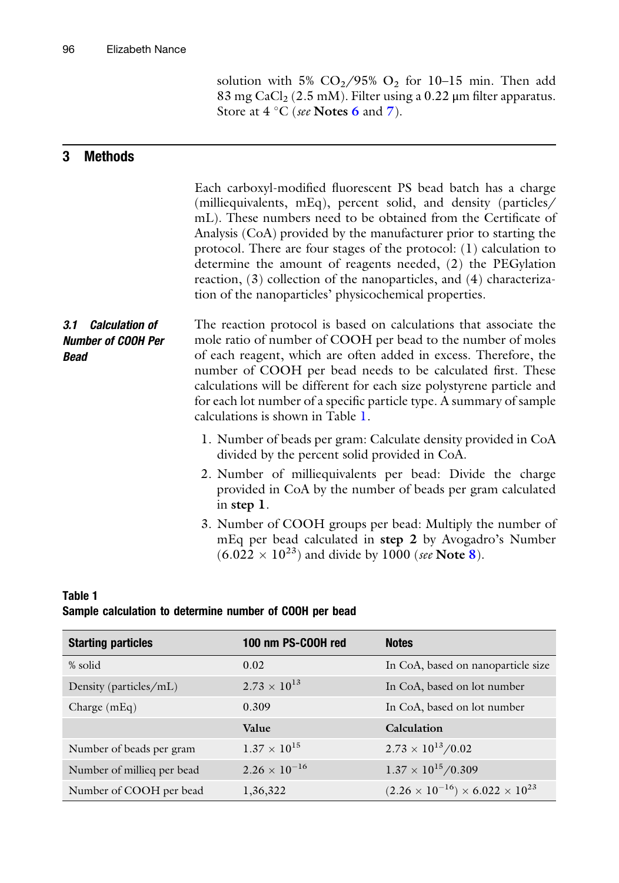solution with 5%  $CO_2/95\%$   $O_2$  for 10-15 min. Then add 83 mg CaCl<sub>2</sub> (2.5 mM). Filter using a 0.22 µm filter apparatus. Store at  $4 \degree C$  (see Notes [6](#page-10-0) and [7](#page-10-0)).

# <span id="page-5-0"></span>3 Methods

|                                                                | Each carboxyl-modified fluorescent PS bead batch has a charge<br>(milliequivalents, mEq), percent solid, and density (particles/<br>mL). These numbers need to be obtained from the Certificate of<br>Analysis (CoA) provided by the manufacturer prior to starting the<br>protocol. There are four stages of the protocol: $(1)$ calculation to<br>determine the amount of reagents needed, (2) the PEGylation<br>reaction, (3) collection of the nanoparticles, and (4) characteriza-<br>tion of the nanoparticles' physicochemical properties. |
|----------------------------------------------------------------|---------------------------------------------------------------------------------------------------------------------------------------------------------------------------------------------------------------------------------------------------------------------------------------------------------------------------------------------------------------------------------------------------------------------------------------------------------------------------------------------------------------------------------------------------|
| 3.1 Calculation of<br><b>Number of COOH Per</b><br><b>Bead</b> | The reaction protocol is based on calculations that associate the<br>mole ratio of number of COOH per bead to the number of moles<br>of each reagent, which are often added in excess. Therefore, the<br>number of COOH per bead needs to be calculated first. These<br>calculations will be different for each size polystyrene particle and<br>for each lot number of a specific particle type. A summary of sample<br>calculations is shown in Table 1.                                                                                        |
|                                                                | 1. Number of beads per gram: Calculate density provided in CoA<br>divided by the percent solid provided in CoA.                                                                                                                                                                                                                                                                                                                                                                                                                                   |
|                                                                | 2. Number of milliequivalents per bead: Divide the charge<br>provided in CoA by the number of beads per gram calculated<br>in step 1.                                                                                                                                                                                                                                                                                                                                                                                                             |
|                                                                | 3. Number of COOH groups per bead: Multiply the number of<br>mEq per bead calculated in step 2 by Avogadro's Number<br>$(6.022 \times 10^{23})$ and divide by 1000 (see Note 8).                                                                                                                                                                                                                                                                                                                                                                  |
|                                                                |                                                                                                                                                                                                                                                                                                                                                                                                                                                                                                                                                   |

#### Table 1 Sample calculation to determine number of COOH per bead

| <b>Starting particles</b>  | 100 nm PS-COOH red     | <b>Notes</b>                                         |
|----------------------------|------------------------|------------------------------------------------------|
| % solid                    | 0.02                   | In CoA, based on nanoparticle size                   |
| Density (particles/mL)     | $2.73 \times 10^{13}$  | In CoA, based on lot number                          |
| Charge $(mEq)$             | 0.309                  | In CoA, based on lot number                          |
|                            | Value                  | Calculation                                          |
| Number of beads per gram   | $1.37 \times 10^{15}$  | $2.73 \times 10^{13}/0.02$                           |
| Number of millieg per bead | $2.26 \times 10^{-16}$ | $1.37 \times 10^{15}/0.309$                          |
| Number of COOH per bead    | 1,36,322               | $(2.26 \times 10^{-16}) \times 6.022 \times 10^{23}$ |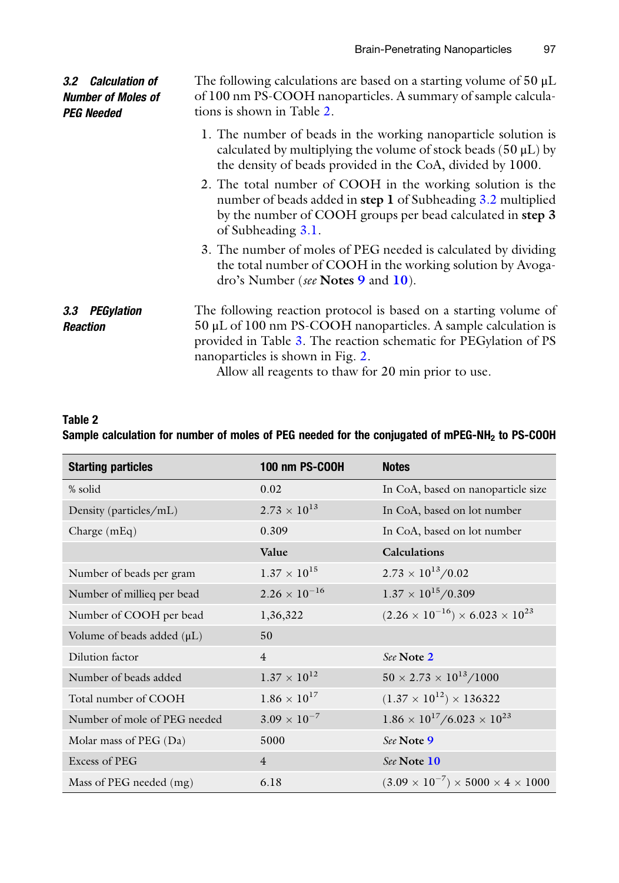| 3.2 Calculation of<br><b>Number of Moles of</b><br><b>PEG Needed</b> | The following calculations are based on a starting volume of $50 \mu L$<br>of 100 nm PS-COOH nanoparticles. A summary of sample calcula-<br>tions is shown in Table 2.                                                                                                                                  |
|----------------------------------------------------------------------|---------------------------------------------------------------------------------------------------------------------------------------------------------------------------------------------------------------------------------------------------------------------------------------------------------|
|                                                                      | 1. The number of beads in the working nanoparticle solution is<br>calculated by multiplying the volume of stock beads $(50 \mu L)$ by<br>the density of beads provided in the CoA, divided by 1000.                                                                                                     |
|                                                                      | 2. The total number of COOH in the working solution is the<br>number of beads added in step 1 of Subheading 3.2 multiplied<br>by the number of COOH groups per bead calculated in step 3<br>of Subheading 3.1.                                                                                          |
|                                                                      | 3. The number of moles of PEG needed is calculated by dividing<br>the total number of COOH in the working solution by Avoga-<br>dro's Number (see Notes 9 and 10).                                                                                                                                      |
| PEGylation<br>3.3<br><b>Reaction</b>                                 | The following reaction protocol is based on a starting volume of<br>$50 \mu L$ of 100 nm PS-COOH nanoparticles. A sample calculation is<br>provided in Table 3. The reaction schematic for PEGylation of PS<br>nanoparticles is shown in Fig. 2.<br>Allow all reagents to thaw for 20 min prior to use. |

| Table 2 |                                                                                                            |  |  |
|---------|------------------------------------------------------------------------------------------------------------|--|--|
|         | Sample calculation for number of moles of PEG needed for the conjugated of mPEG-NH <sub>2</sub> to PS-COOH |  |  |

| <b>Starting particles</b>    | <b>100 nm PS-COOH</b>  | <b>Notes</b>                                             |
|------------------------------|------------------------|----------------------------------------------------------|
| % solid                      | 0.02                   | In CoA, based on nanoparticle size                       |
| Density (particles/mL)       | $2.73 \times 10^{13}$  | In CoA, based on lot number                              |
| Charge (mEq)                 | 0.309                  | In CoA, based on lot number                              |
|                              | Value                  | <b>Calculations</b>                                      |
| Number of beads per gram     | $1.37 \times 10^{15}$  | $2.73 \times 10^{13}/0.02$                               |
| Number of millieq per bead   | $2.26 \times 10^{-16}$ | $1.37 \times 10^{15}/0.309$                              |
| Number of COOH per bead      | 1,36,322               | $(2.26 \times 10^{-16}) \times 6.023 \times 10^{23}$     |
| Volume of beads added (µL)   | 50                     |                                                          |
| Dilution factor              | $\overline{4}$         | See Note 2                                               |
| Number of beads added        | $1.37 \times 10^{12}$  | $50 \times 2.73 \times 10^{13} / 1000$                   |
| Total number of COOH         | $1.86 \times 10^{17}$  | $(1.37 \times 10^{12}) \times 136322$                    |
| Number of mole of PEG needed | $3.09 \times 10^{-7}$  | $1.86 \times 10^{17}/6.023 \times 10^{23}$               |
| Molar mass of PEG (Da)       | 5000                   | See Note 9                                               |
| Excess of PEG                | $\overline{4}$         | See Note 10                                              |
| Mass of PEG needed (mg)      | 6.18                   | $(3.09 \times 10^{-7}) \times 5000 \times 4 \times 1000$ |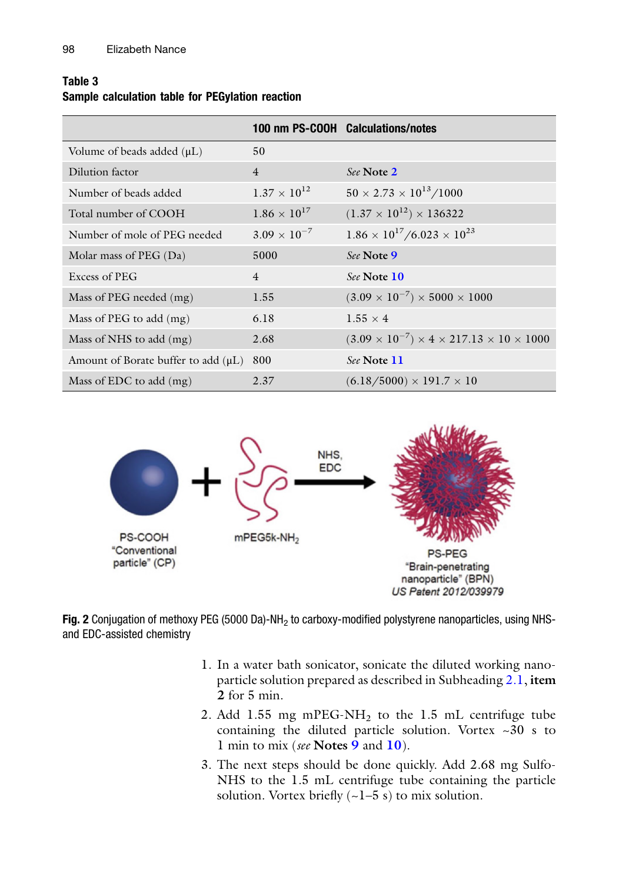## <span id="page-7-0"></span>Table 3 Sample calculation table for PEGylation reaction

|                                          |                       | 100 nm PS-COOH Calculations/notes                                    |
|------------------------------------------|-----------------------|----------------------------------------------------------------------|
| Volume of beads added $(\mu L)$          | 50                    |                                                                      |
| Dilution factor                          | $\overline{4}$        | See Note 2                                                           |
| Number of beads added                    | $1.37 \times 10^{12}$ | $50 \times 2.73 \times 10^{13} / 1000$                               |
| Total number of COOH                     | $1.86 \times 10^{17}$ | $(1.37 \times 10^{12}) \times 136322$                                |
| Number of mole of PEG needed             | $3.09 \times 10^{-7}$ | $1.86 \times 10^{17}/6.023 \times 10^{23}$                           |
| Molar mass of $PEG (Da)$                 | 5000                  | See Note 9                                                           |
| Excess of PEG                            | $\overline{4}$        | See Note 10                                                          |
| Mass of PEG needed (mg)                  | 1.55                  | $(3.09 \times 10^{-7}) \times 5000 \times 1000$                      |
| Mass of PEG to add (mg)                  | 6.18                  | $1.55 \times 4$                                                      |
| Mass of NHS to add $(mg)$                | 2.68                  | $(3.09 \times 10^{-7}) \times 4 \times 217.13 \times 10 \times 1000$ |
| Amount of Borate buffer to add $(\mu L)$ | 800                   | See Note 11                                                          |
| Mass of EDC to add $(mg)$                | 2.37                  | $(6.18/5000) \times 191.7 \times 10$                                 |



Fig. 2 Conjugation of methoxy PEG (5000 Da)-NH<sub>2</sub> to carboxy-modified polystyrene nanoparticles, using NHSand EDC-assisted chemistry

- 1. In a water bath sonicator, sonicate the diluted working nanoparticle solution prepared as described in Subheading [2.1](#page-4-0), item 2 for 5 min.
- 2. Add 1.55 mg mPEG-NH<sub>2</sub> to the 1.5 mL centrifuge tube containing the diluted particle solution. Vortex ~30 s to 1 min to mix (see Notes [9](#page-10-0) and [10](#page-10-0)).
- 3. The next steps should be done quickly. Add 2.68 mg Sulfo-NHS to the 1.5 mL centrifuge tube containing the particle solution. Vortex briefly  $(-1-5 s)$  to mix solution.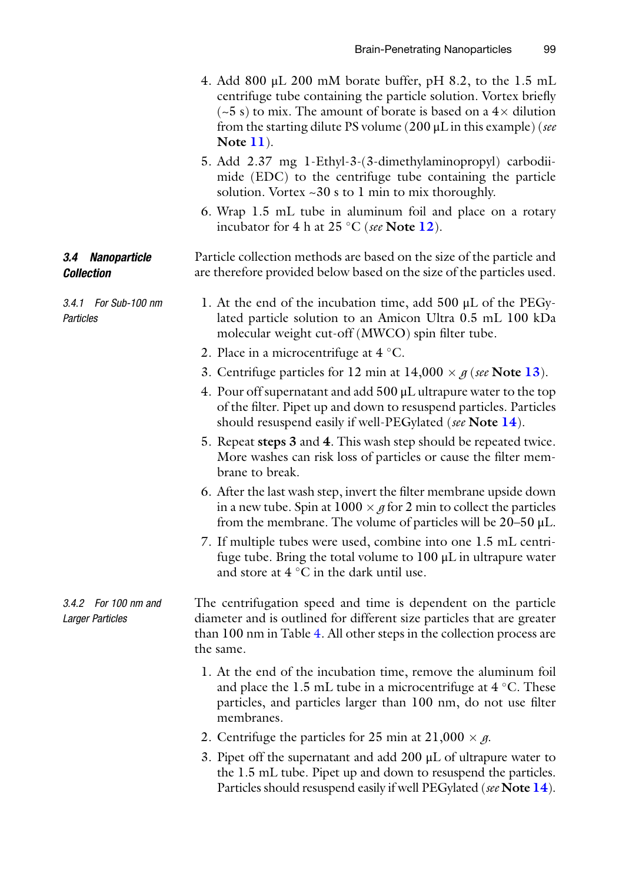- <span id="page-8-0"></span>4. Add 800  $\mu$ L 200 mM borate buffer, pH 8.2, to the 1.5 mL centrifuge tube containing the particle solution. Vortex briefly  $(-5 s)$  to mix. The amount of borate is based on a  $4 \times$  dilution from the starting dilute PS volume (200  $\mu$ L in this example) (see Note [11](#page-10-0)).
- 5. Add 2.37 mg 1-Ethyl-3-(3-dimethylaminopropyl) carbodiimide (EDC) to the centrifuge tube containing the particle solution. Vortex  $\sim 30$  s to 1 min to mix thoroughly.
- 6. Wrap 1.5 mL tube in aluminum foil and place on a rotary incubator for 4 h at 25  $\degree$ C (see Note [12](#page-10-0)).

Particle collection methods are based on the size of the particle and are therefore provided below based on the size of the particles used.

- 1. At the end of the incubation time, add 500 μL of the PEGylated particle solution to an Amicon Ultra 0.5 mL 100 kDa molecular weight cut-off (MWCO) spin filter tube.
	- 2. Place in a microcentrifuge at  $4^{\circ}$ C.

3.4 Nanoparticle

3.4.1 For Sub-100 nm

**Collection** 

**Particles** 

- 3. Centrifuge particles for 12 min at  $14,000 \times g$  (see Note [13](#page-10-0)).
- 4. Pour off supernatant and add 500 μL ultrapure water to the top of the filter. Pipet up and down to resuspend particles. Particles should resuspend easily if well-PEGylated (see Note [14](#page-10-0)).
- 5. Repeat steps 3 and 4. This wash step should be repeated twice. More washes can risk loss of particles or cause the filter membrane to break.
- 6. After the last wash step, invert the filter membrane upside down in a new tube. Spin at  $1000 \times g$  for 2 min to collect the particles from the membrane. The volume of particles will be  $20-50 \mu L$ .
- 7. If multiple tubes were used, combine into one 1.5 mL centrifuge tube. Bring the total volume to 100 μL in ultrapure water and store at  $4^{\circ}$ C in the dark until use.
- 3.4.2 For 100 nm and Larger Particles The centrifugation speed and time is dependent on the particle diameter and is outlined for different size particles that are greater than 100 nm in Table [4.](#page-9-0) All other steps in the collection process are the same.
	- 1. At the end of the incubation time, remove the aluminum foil and place the 1.5 mL tube in a microcentrifuge at  $4^{\circ}$ C. These particles, and particles larger than 100 nm, do not use filter membranes.
	- 2. Centrifuge the particles for 25 min at  $21,000 \times g$ .
	- 3. Pipet off the supernatant and add 200 μL of ultrapure water to the 1.5 mL tube. Pipet up and down to resuspend the particles. Particles should resuspend easily if well PEGylated (see Note [14](#page-10-0)).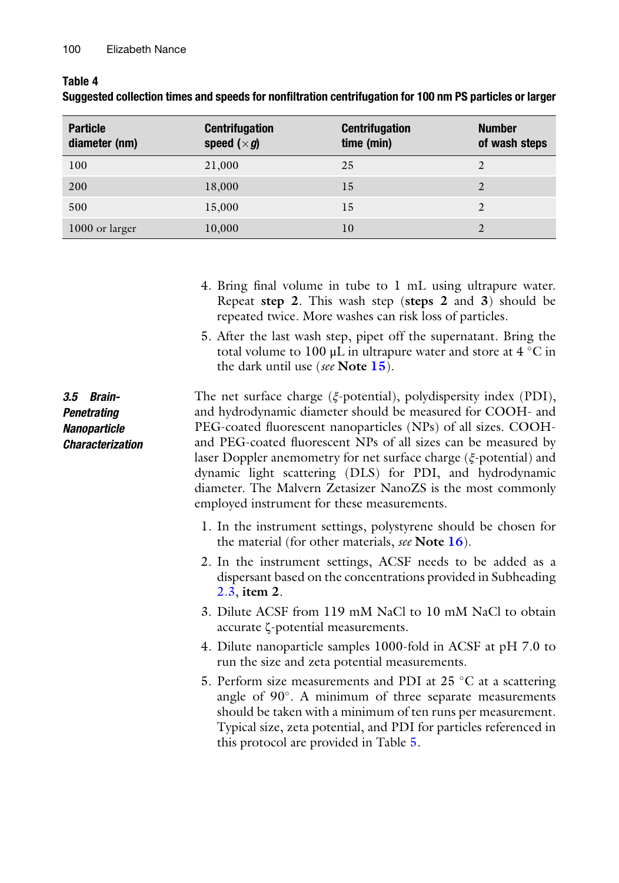<span id="page-9-0"></span>Table 4

| <b>Particle</b><br>diameter (nm) | <b>Centrifugation</b><br>speed $(\times g)$ | <b>Centrifugation</b><br>time (min) | <b>Number</b><br>of wash steps |
|----------------------------------|---------------------------------------------|-------------------------------------|--------------------------------|
| 100                              | 21,000                                      | 25                                  | 2                              |
| 200                              | 18,000                                      | 15                                  | 2                              |
| 500                              | 15,000                                      | 15                                  | 2                              |
| 1000 or larger                   | 10,000                                      | 10                                  |                                |

| Suggested collection times and speeds for nonfiltration centrifugation for 100 nm PS particles or larger |  |  |
|----------------------------------------------------------------------------------------------------------|--|--|
|----------------------------------------------------------------------------------------------------------|--|--|

- 4. Bring final volume in tube to 1 mL using ultrapure water. Repeat step 2. This wash step (steps 2 and 3) should be repeated twice. More washes can risk loss of particles.
- 5. After the last wash step, pipet off the supernatant. Bring the total volume to 100  $\mu$ L in ultrapure water and store at 4 °C in the dark until use (see Note  $15$ ).

3.5 Brain-**Penetrating Nanoparticle** Characterization The net surface charge (ξ-potential), polydispersity index (PDI), and hydrodynamic diameter should be measured for COOH- and PEG-coated fluorescent nanoparticles (NPs) of all sizes. COOHand PEG-coated fluorescent NPs of all sizes can be measured by laser Doppler anemometry for net surface charge (ξ-potential) and dynamic light scattering (DLS) for PDI, and hydrodynamic diameter. The Malvern Zetasizer NanoZS is the most commonly employed instrument for these measurements.

- 1. In the instrument settings, polystyrene should be chosen for the material (for other materials, see Note  $16$ ).
- 2. In the instrument settings, ACSF needs to be added as a dispersant based on the concentrations provided in Subheading [2.3,](#page-4-0) item 2.
- 3. Dilute ACSF from 119 mM NaCl to 10 mM NaCl to obtain accurate ζ-potential measurements.
- 4. Dilute nanoparticle samples 1000-fold in ACSF at pH 7.0 to run the size and zeta potential measurements.
- 5. Perform size measurements and PDI at  $25 \degree C$  at a scattering angle of 90°. A minimum of three separate measurements should be taken with a minimum of ten runs per measurement. Typical size, zeta potential, and PDI for particles referenced in this protocol are provided in Table [5](#page-10-0).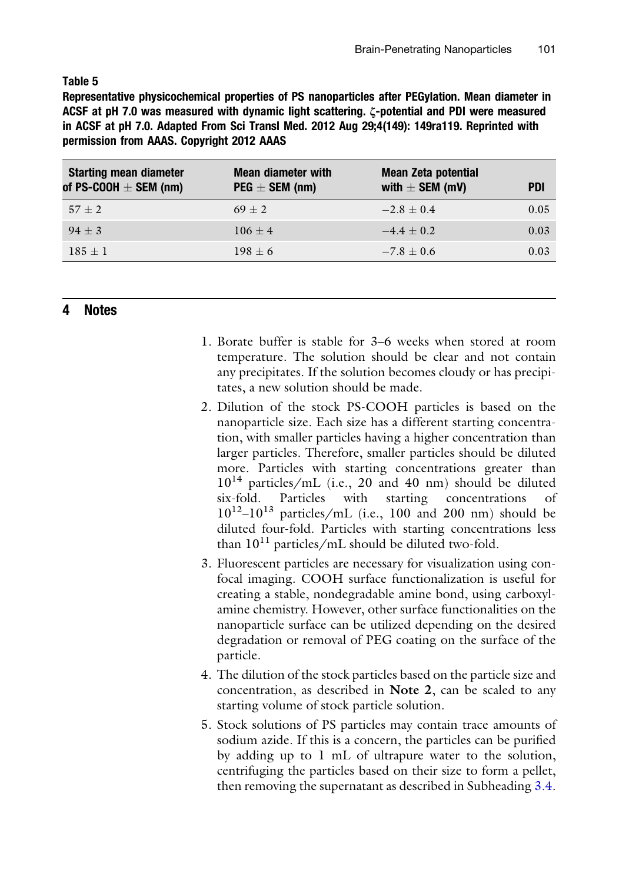#### <span id="page-10-0"></span>Table 5

Representative physicochemical properties of PS nanoparticles after PEGylation. Mean diameter in ACSF at pH 7.0 was measured with dynamic light scattering. ζ-potential and PDI were measured in ACSF at pH 7.0. Adapted From Sci Transl Med. 2012 Aug 29;4(149): 149ra119. Reprinted with permission from AAAS. Copyright 2012 AAAS

| <b>Starting mean diameter</b><br>of PS-COOH $\pm$ SEM (nm) | <b>Mean diameter with</b><br>$PEG \pm SEM$ (nm) | <b>Mean Zeta potential</b><br>with $\pm$ SEM (mV) | <b>PDI</b> |
|------------------------------------------------------------|-------------------------------------------------|---------------------------------------------------|------------|
| $57 + 2$                                                   | $69 + 2$                                        | $-2.8 + 0.4$                                      | 0.05       |
| $94 + 3$                                                   | $106 + 4$                                       | $-4.4 + 0.2$                                      | 0.03       |
| $185 + 1$                                                  | $198 + 6$                                       | $-7.8 + 0.6$                                      | 0.03       |

#### 4 Notes

- 1. Borate buffer is stable for 3–6 weeks when stored at room temperature. The solution should be clear and not contain any precipitates. If the solution becomes cloudy or has precipitates, a new solution should be made.
- 2. Dilution of the stock PS-COOH particles is based on the nanoparticle size. Each size has a different starting concentration, with smaller particles having a higher concentration than larger particles. Therefore, smaller particles should be diluted more. Particles with starting concentrations greater than  $10^{14}$  particles/mL (i.e., 20 and 40 nm) should be diluted six-fold. Particles with starting concentrations of  $10^{12}$ – $10^{13}$  particles/mL (i.e., 100 and 200 nm) should be diluted four-fold. Particles with starting concentrations less than  $10^{11}$  particles/mL should be diluted two-fold.
- 3. Fluorescent particles are necessary for visualization using confocal imaging. COOH surface functionalization is useful for creating a stable, nondegradable amine bond, using carboxylamine chemistry. However, other surface functionalities on the nanoparticle surface can be utilized depending on the desired degradation or removal of PEG coating on the surface of the particle.
- 4. The dilution of the stock particles based on the particle size and concentration, as described in Note 2, can be scaled to any starting volume of stock particle solution.
- 5. Stock solutions of PS particles may contain trace amounts of sodium azide. If this is a concern, the particles can be purified by adding up to 1 mL of ultrapure water to the solution, centrifuging the particles based on their size to form a pellet, then removing the supernatant as described in Subheading [3.4.](#page-8-0)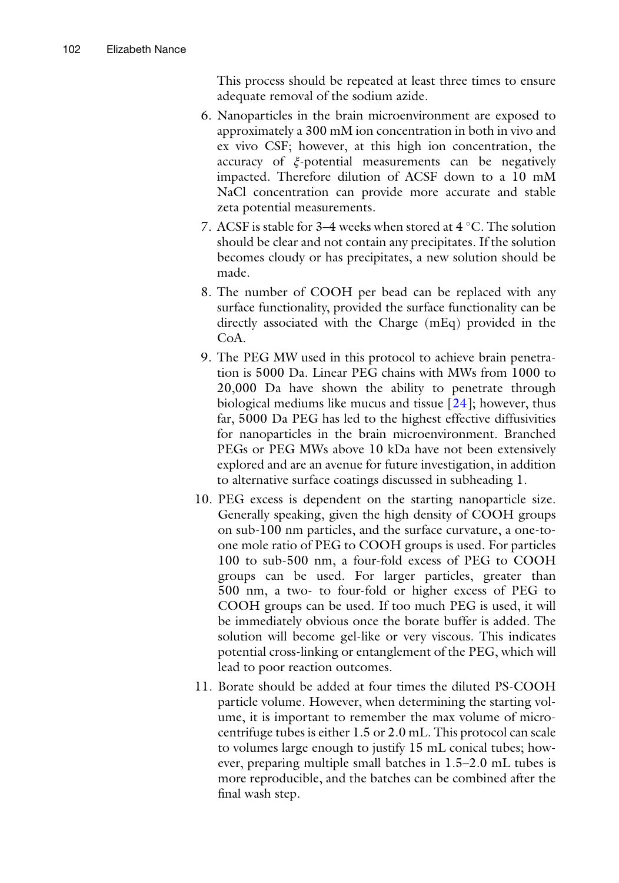This process should be repeated at least three times to ensure adequate removal of the sodium azide.

- 6. Nanoparticles in the brain microenvironment are exposed to approximately a 300 mM ion concentration in both in vivo and ex vivo CSF; however, at this high ion concentration, the accuracy of ξ-potential measurements can be negatively impacted. Therefore dilution of ACSF down to a 10 mM NaCl concentration can provide more accurate and stable zeta potential measurements.
- 7. ACSF is stable for 3–4 weeks when stored at  $4^{\circ}$ C. The solution should be clear and not contain any precipitates. If the solution becomes cloudy or has precipitates, a new solution should be made.
- 8. The number of COOH per bead can be replaced with any surface functionality, provided the surface functionality can be directly associated with the Charge (mEq) provided in the CoA.
- 9. The PEG MW used in this protocol to achieve brain penetration is 5000 Da. Linear PEG chains with MWs from 1000 to 20,000 Da have shown the ability to penetrate through biological mediums like mucus and tissue [\[24](#page-13-0)]; however, thus far, 5000 Da PEG has led to the highest effective diffusivities for nanoparticles in the brain microenvironment. Branched PEGs or PEG MWs above 10 kDa have not been extensively explored and are an avenue for future investigation, in addition to alternative surface coatings discussed in subheading 1.
- 10. PEG excess is dependent on the starting nanoparticle size. Generally speaking, given the high density of COOH groups on sub-100 nm particles, and the surface curvature, a one-toone mole ratio of PEG to COOH groups is used. For particles 100 to sub-500 nm, a four-fold excess of PEG to COOH groups can be used. For larger particles, greater than 500 nm, a two- to four-fold or higher excess of PEG to COOH groups can be used. If too much PEG is used, it will be immediately obvious once the borate buffer is added. The solution will become gel-like or very viscous. This indicates potential cross-linking or entanglement of the PEG, which will lead to poor reaction outcomes.
- 11. Borate should be added at four times the diluted PS-COOH particle volume. However, when determining the starting volume, it is important to remember the max volume of microcentrifuge tubes is either 1.5 or 2.0 mL. This protocol can scale to volumes large enough to justify 15 mL conical tubes; however, preparing multiple small batches in 1.5–2.0 mL tubes is more reproducible, and the batches can be combined after the final wash step.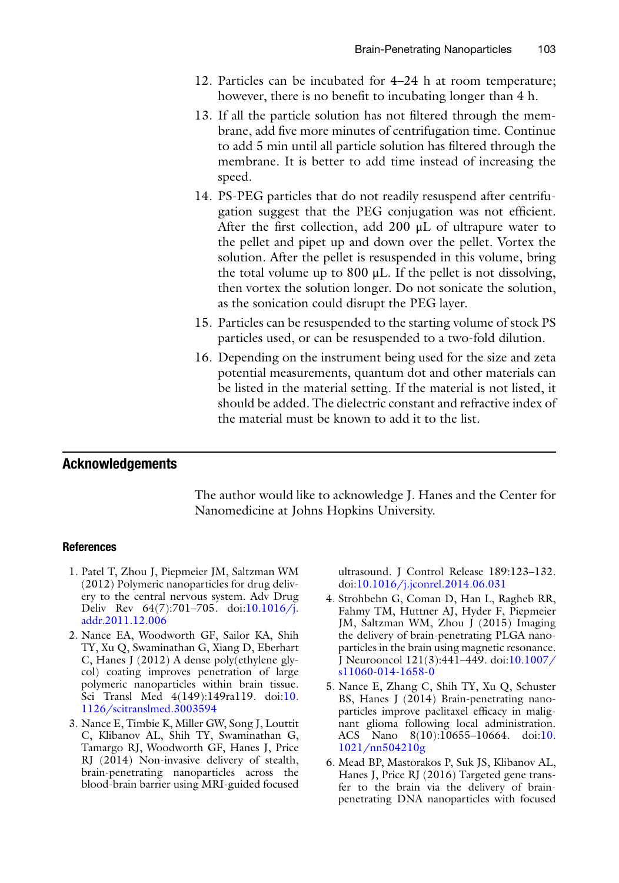- <span id="page-12-0"></span>12. Particles can be incubated for 4–24 h at room temperature; however, there is no benefit to incubating longer than 4 h.
- 13. If all the particle solution has not filtered through the membrane, add five more minutes of centrifugation time. Continue to add 5 min until all particle solution has filtered through the membrane. It is better to add time instead of increasing the speed.
- 14. PS-PEG particles that do not readily resuspend after centrifugation suggest that the PEG conjugation was not efficient. After the first collection, add 200 μL of ultrapure water to the pellet and pipet up and down over the pellet. Vortex the solution. After the pellet is resuspended in this volume, bring the total volume up to  $800 \mu L$ . If the pellet is not dissolving, then vortex the solution longer. Do not sonicate the solution, as the sonication could disrupt the PEG layer.
- 15. Particles can be resuspended to the starting volume of stock PS particles used, or can be resuspended to a two-fold dilution.
- 16. Depending on the instrument being used for the size and zeta potential measurements, quantum dot and other materials can be listed in the material setting. If the material is not listed, it should be added. The dielectric constant and refractive index of the material must be known to add it to the list.

#### Acknowledgements

The author would like to acknowledge J. Hanes and the Center for Nanomedicine at Johns Hopkins University.

#### References

- 1. Patel T, Zhou J, Piepmeier JM, Saltzman WM (2012) Polymeric nanoparticles for drug delivery to the central nervous system. Adv Drug Deliv Rev 64(7):701–705. doi[:10.1016/j.](http://dx.doi.org/10.1016/j.addr.2011.12.006) [addr.2011.12.006](http://dx.doi.org/10.1016/j.addr.2011.12.006)
- 2. Nance EA, Woodworth GF, Sailor KA, Shih TY, Xu Q, Swaminathan G, Xiang D, Eberhart C, Hanes J (2012) A dense poly(ethylene glycol) coating improves penetration of large polymeric nanoparticles within brain tissue. Sci Transl Med 4(149):149ra119. doi[:10.](http://dx.doi.org/10.1126/scitranslmed.3003594) [1126/scitranslmed.3003594](http://dx.doi.org/10.1126/scitranslmed.3003594)
- 3. Nance E, Timbie K, Miller GW, Song J, Louttit C, Klibanov AL, Shih TY, Swaminathan G, Tamargo RJ, Woodworth GF, Hanes J, Price RJ (2014) Non-invasive delivery of stealth, brain-penetrating nanoparticles across the blood-brain barrier using MRI-guided focused

ultrasound. J Control Release 189:123–132. doi:[10.1016/j.jconrel.2014.06.031](http://dx.doi.org/10.1016/j.jconrel.2014.06.031)

- 4. Strohbehn G, Coman D, Han L, Ragheb RR, Fahmy TM, Huttner AJ, Hyder F, Piepmeier JM, Saltzman WM, Zhou J (2015) Imaging the delivery of brain-penetrating PLGA nanoparticles in the brain using magnetic resonance. J Neurooncol 121(3):441–449. doi[:10.1007/](http://dx.doi.org/10.1007/s11060-014-1658-0) [s11060-014-1658-0](http://dx.doi.org/10.1007/s11060-014-1658-0)
- 5. Nance E, Zhang C, Shih TY, Xu Q, Schuster BS, Hanes J (2014) Brain-penetrating nanoparticles improve paclitaxel efficacy in malignant glioma following local administration. ACS Nano 8(10):10655–10664. doi:[10.](http://dx.doi.org/10.1021/nn504210g) [1021/nn504210g](http://dx.doi.org/10.1021/nn504210g)
- 6. Mead BP, Mastorakos P, Suk JS, Klibanov AL, Hanes J, Price RJ (2016) Targeted gene transfer to the brain via the delivery of brainpenetrating DNA nanoparticles with focused